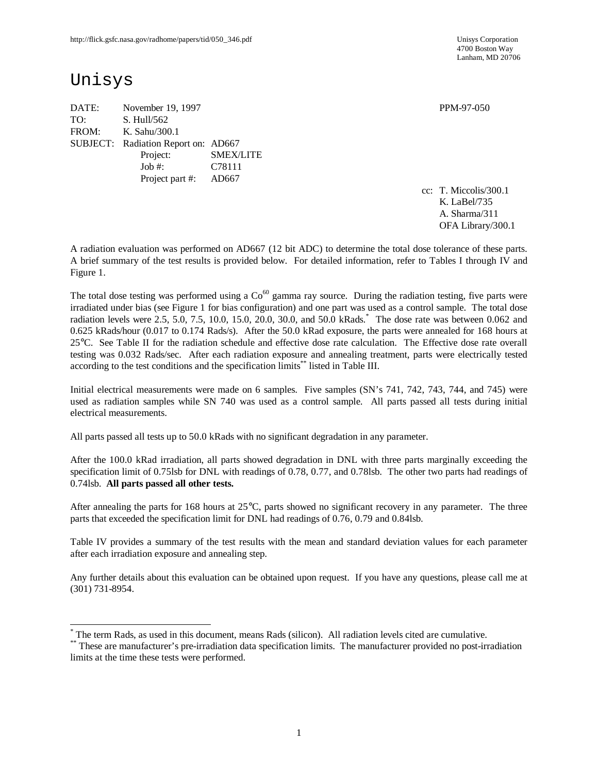4700 Boston Way Lanham, MD 20706

## Unisys

 $\overline{a}$ 

DATE: November 19, 1997 PPM-97-050 TO: S. Hull/562 FROM: K. Sahu/300.1 SUBJECT: Radiation Report on: AD667 Project: SMEX/LITE Job #: C78111 Project part #: AD667

cc: T. Miccolis/300.1 K. LaBel/735 A. Sharma/311 OFA Library/300.1

A radiation evaluation was performed on AD667 (12 bit ADC) to determine the total dose tolerance of these parts. A brief summary of the test results is provided below. For detailed information, refer to Tables I through IV and Figure 1.

The total dose testing was performed using a  $Co<sup>60</sup>$  gamma ray source. During the radiation testing, five parts were irradiated under bias (see Figure 1 for bias configuration) and one part was used as a control sample. The total dose radiation levels were 2.5, 5.0, 7.5, 10.0, 15.0, 20.0, 30.0, and 50.0 kRads. \* The dose rate was between 0.062 and 0.625 kRads/hour (0.017 to 0.174 Rads/s). After the 50.0 kRad exposure, the parts were annealed for 168 hours at 25°C. See Table II for the radiation schedule and effective dose rate calculation. The Effective dose rate overall testing was 0.032 Rads/sec. After each radiation exposure and annealing treatment, parts were electrically tested according to the test conditions and the specification limits\*\* listed in Table III.

Initial electrical measurements were made on 6 samples. Five samples (SN's 741, 742, 743, 744, and 745) were used as radiation samples while SN 740 was used as a control sample. All parts passed all tests during initial electrical measurements.

All parts passed all tests up to 50.0 kRads with no significant degradation in any parameter.

After the 100.0 kRad irradiation, all parts showed degradation in DNL with three parts marginally exceeding the specification limit of 0.75lsb for DNL with readings of 0.78, 0.77, and 0.78lsb. The other two parts had readings of 0.74lsb. **All parts passed all other tests.**

After annealing the parts for 168 hours at 25°C, parts showed no significant recovery in any parameter. The three parts that exceeded the specification limit for DNL had readings of 0.76, 0.79 and 0.84lsb.

Table IV provides a summary of the test results with the mean and standard deviation values for each parameter after each irradiation exposure and annealing step.

Any further details about this evaluation can be obtained upon request. If you have any questions, please call me at (301) 731-8954.

<sup>\*</sup> The term Rads, as used in this document, means Rads (silicon). All radiation levels cited are cumulative.

<sup>\*\*</sup> These are manufacturer's pre-irradiation data specification limits. The manufacturer provided no post-irradiation limits at the time these tests were performed.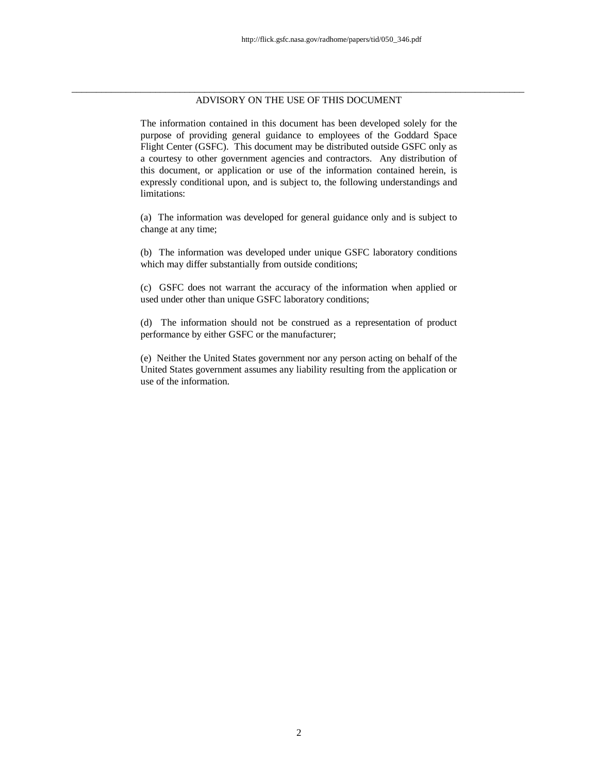#### \_\_\_\_\_\_\_\_\_\_\_\_\_\_\_\_\_\_\_\_\_\_\_\_\_\_\_\_\_\_\_\_\_\_\_\_\_\_\_\_\_\_\_\_\_\_\_\_\_\_\_\_\_\_\_\_\_\_\_\_\_\_\_\_\_\_\_\_\_\_\_\_\_\_\_\_\_\_\_\_\_\_\_\_\_\_\_\_\_\_\_\_ ADVISORY ON THE USE OF THIS DOCUMENT

The information contained in this document has been developed solely for the purpose of providing general guidance to employees of the Goddard Space Flight Center (GSFC). This document may be distributed outside GSFC only as a courtesy to other government agencies and contractors. Any distribution of this document, or application or use of the information contained herein, is expressly conditional upon, and is subject to, the following understandings and limitations:

(a) The information was developed for general guidance only and is subject to change at any time;

(b) The information was developed under unique GSFC laboratory conditions which may differ substantially from outside conditions;

(c) GSFC does not warrant the accuracy of the information when applied or used under other than unique GSFC laboratory conditions;

(d) The information should not be construed as a representation of product performance by either GSFC or the manufacturer;

(e) Neither the United States government nor any person acting on behalf of the United States government assumes any liability resulting from the application or use of the information.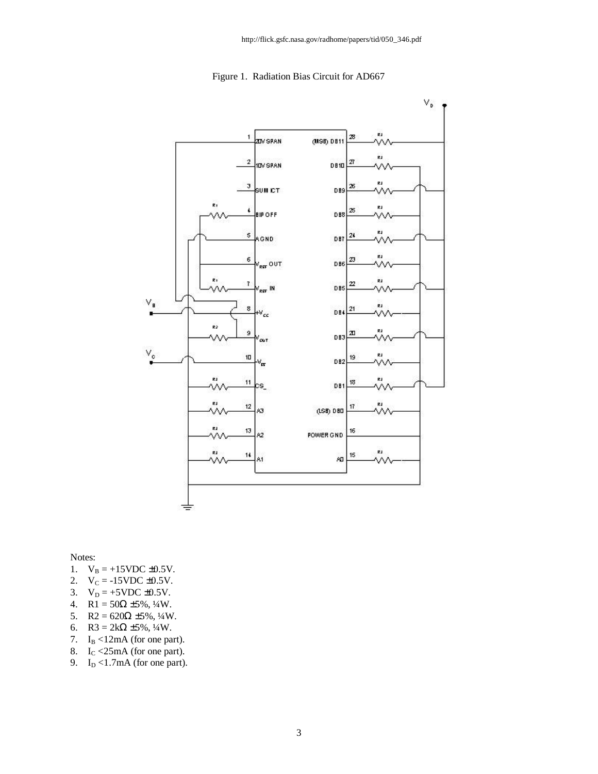



Notes:

- 1.  $V_B = +15 \text{VDC} \pm 0.5 \text{V}$ .
- 2.  $V_C = -15VDC \pm 0.5V$ .
- 3.  $V_D = +5VDC \pm 0.5V$ .
- 4. R1 =  $50\Omega \pm 5\%, \frac{1}{4}W$ .
- 5. R2 =  $620\Omega \pm 5\%, \frac{1}{4}W$ .
- 6. R3 =  $2k\Omega \pm 5\%, \frac{1}{4}W$ .
- 7.  $I_B < 12mA$  (for one part).
- 8.  $I_C < 25 \text{mA}$  (for one part).
- 9.  $I_D < 1.7mA$  (for one part).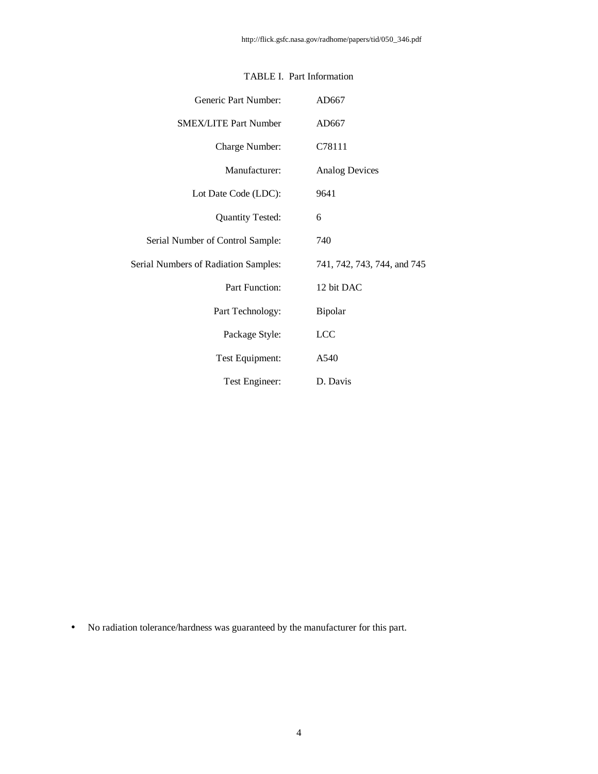| Generic Part Number:                        | AD667                       |
|---------------------------------------------|-----------------------------|
| <b>SMEX/LITE Part Number</b>                | AD667                       |
| Charge Number:                              | C78111                      |
| Manufacturer:                               | <b>Analog Devices</b>       |
| Lot Date Code (LDC):                        | 9641                        |
| <b>Quantity Tested:</b>                     | 6                           |
| Serial Number of Control Sample:            | 740                         |
| <b>Serial Numbers of Radiation Samples:</b> | 741, 742, 743, 744, and 745 |
| Part Function:                              | 12 bit DAC                  |
| Part Technology:                            | Bipolar                     |
| Package Style:                              | <b>LCC</b>                  |
| Test Equipment:                             | A540                        |
| Test Engineer:                              | D. Davis                    |

#### TABLE I. Part Information

• No radiation tolerance/hardness was guaranteed by the manufacturer for this part.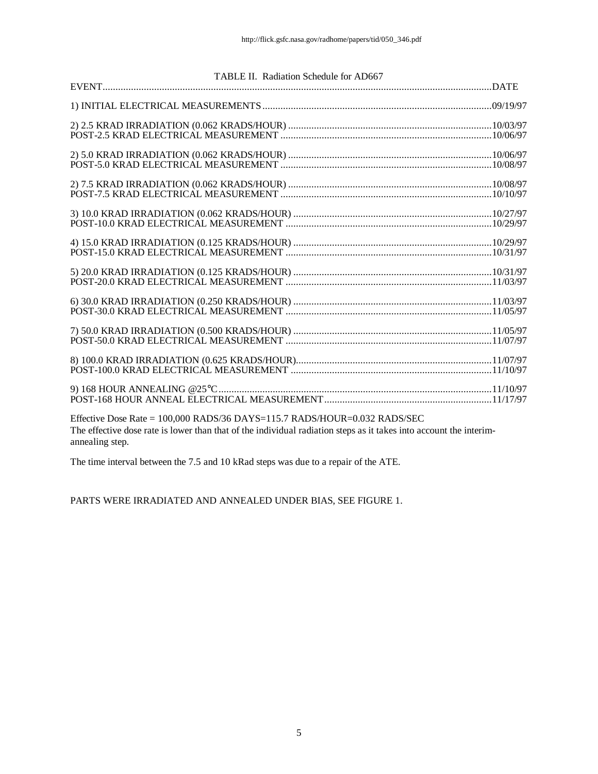|                                                                           | TABLE II. Radiation Schedule for AD667 |
|---------------------------------------------------------------------------|----------------------------------------|
|                                                                           |                                        |
|                                                                           |                                        |
|                                                                           |                                        |
|                                                                           |                                        |
|                                                                           |                                        |
|                                                                           |                                        |
|                                                                           |                                        |
|                                                                           |                                        |
|                                                                           |                                        |
|                                                                           |                                        |
|                                                                           |                                        |
| Effective Dose Rate – 100.000 RADS/36 DAVS-115 7 RADS/HOUR-0.032 RADS/SEC |                                        |

Effective Dose Rate = 100,000 RADS/36 DAYS=115.7 RADS/HOUR=0.032 RADS/SEC The effective dose rate is lower than that of the individual radiation steps as it takes into account the interimannealing step.

The time interval between the 7.5 and 10 kRad steps was due to a repair of the ATE.

PARTS WERE IRRADIATED AND ANNEALED UNDER BIAS, SEE FIGURE 1.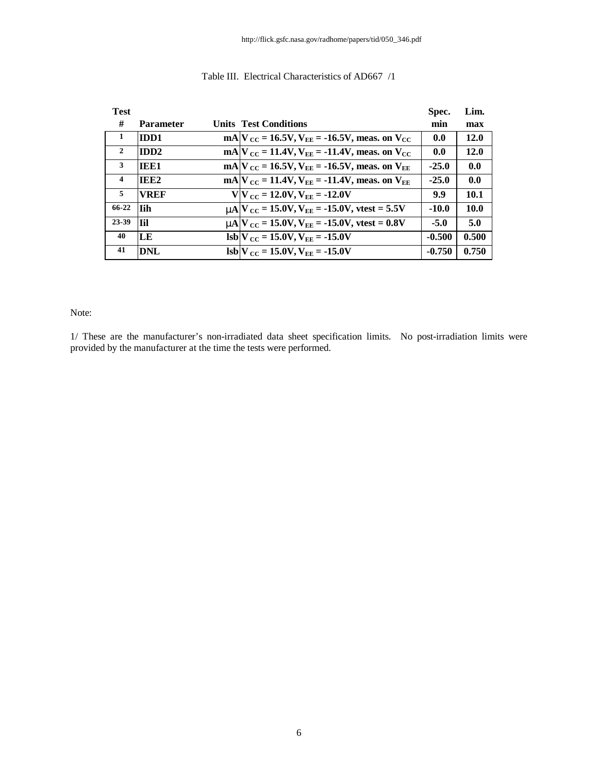| <b>Test</b>             |                  |                                                                                               | Spec.    | Lim.  |
|-------------------------|------------------|-----------------------------------------------------------------------------------------------|----------|-------|
| #                       | <b>Parameter</b> | <b>Units Test Conditions</b>                                                                  | min      | max   |
| -1                      | <b>IDD1</b>      | mA $V_{\text{CC}}$ = 16.5V, $V_{\text{EE}}$ = -16.5V, meas. on $V_{\text{CC}}$                | 0.0      | 12.0  |
| $\overline{2}$          | <b>IDD2</b>      | mA $V_{CC}$ = 11.4V, $V_{EE}$ = -11.4V, meas. on $V_{CC}$                                     | 0.0      | 12.0  |
| 3                       | <b>TEE1</b>      | mA $V_{\text{CC}}$ = 16.5V, $V_{\text{EE}}$ = -16.5V, meas. on $V_{\text{EE}}$                | $-25.0$  | 0.0   |
| $\overline{\mathbf{4}}$ | IEE <sub>2</sub> | mA $V_{\text{CC}} = 11.4 V, V_{\text{EE}} = -11.4 V$ , meas. on $V_{\text{EE}}$               | $-25.0$  | 0.0   |
| 5                       | <b>VREF</b>      | $V V_{CC} = 12.0V, V_{EE} = -12.0V$                                                           | 9.9      | 10.1  |
| 66-22                   | l I i h          | $mN_{\text{CC}} = 15.0 \text{V}, V_{\text{EE}} = -15.0 \text{V}, \text{vtest} = 5.5 \text{V}$ | $-10.0$  | 10.0  |
| 23-39                   | l Til            | $mA$ $V_{CC}$ = 15.0V, $V_{EE}$ = -15.0V, vtest = 0.8V                                        | $-5.0$   | 5.0   |
| 40                      | LЕ               | $\text{lsb}$ V $_{\text{CC}}$ = 15.0V, V <sub>EE</sub> = -15.0V                               | $-0.500$ | 0.500 |
| 41                      | DNL              | $\text{lsb} V_{\text{CC}} = 15.0 \text{V}, V_{\text{EE}} = -15.0 \text{V}$                    | $-0.750$ | 0.750 |

#### Table III. Electrical Characteristics of AD667 /1

### Note:

1/ These are the manufacturer's non-irradiated data sheet specification limits. No post-irradiation limits were provided by the manufacturer at the time the tests were performed.